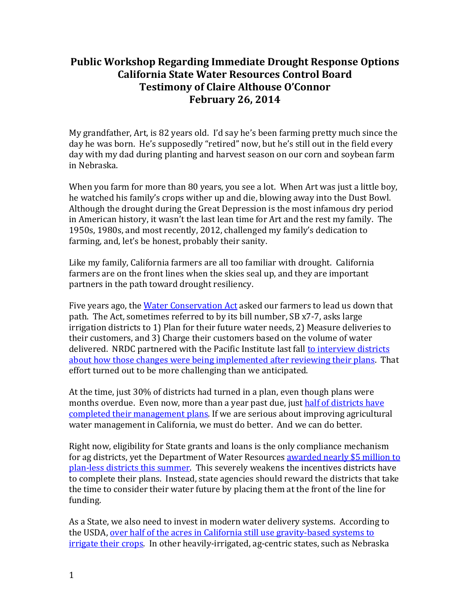## **Public Workshop Regarding Immediate Drought Response Options California State Water Resources Control Board Testimony of Claire Althouse O'Connor February 26, 2014**

My grandfather, Art, is 82 years old. I'd say he's been farming pretty much since the day he was born. He's supposedly "retired" now, but he's still out in the field every day with my dad during planting and harvest season on our corn and soybean farm in Nebraska.

When you farm for more than 80 years, you see a lot. When Art was just a little boy, he watched his family's crops wither up and die, blowing away into the Dust Bowl. Although the drought during the Great Depression is the most infamous dry period in American history, it wasn't the last lean time for Art and the rest my family. The 1950s, 1980s, and most recently, 2012, challenged my family's dedication to farming, and, let's be honest, probably their sanity.

Like my family, California farmers are all too familiar with drought. California farmers are on the front lines when the skies seal up, and they are important partners in the path toward drought resiliency.

Five years ago, the [Water Conservation Act](http://www.water.ca.gov/wateruseefficiency/sb7/docs/SB7-7-TheLaw.pdf) asked our farmers to lead us down that path. The Act, sometimes referred to by its bill number, SB x7-7, asks large irrigation districts to 1) Plan for their future water needs, 2) Measure deliveries to their customers, and 3) Charge their customers based on the volume of water delivered. NRDC partnered with the Pacific Institute last fall to interview districts [about how those changes were being implemented](http://www.nrdc.org/water/ca-agricultural-water-planning.asp) after reviewing their plans. That effort turned out to be more challenging than we anticipated.

At the time, just 30% of districts had turned in a plan, even though plans were months overdue. Even now, more than a year past due, just half of districts have [completed their management plans.](http://www.water.ca.gov/wateruseefficiency/sb7/docs/2014/012914_AWMP_AgencyListLocation_Color.pdf) If we are serious about improving agricultural water management in California, we must do better. And we can do better.

Right now, eligibility for State grants and loans is the only compliance mechanism for ag districts, yet the Department of Water Resources [awarded nearly \\$5 million to](http://www.water.ca.gov/wateruseefficiency/docs/Notice-Final_Funding_Awards-7-26-13_FINAL.PDF)  [plan-less districts this summer.](http://www.water.ca.gov/wateruseefficiency/docs/Notice-Final_Funding_Awards-7-26-13_FINAL.PDF) This severely weakens the incentives districts have to complete their plans. Instead, state agencies should reward the districts that take the time to consider their water future by placing them at the front of the line for funding.

As a State, we also need to invest in modern water delivery systems. According to the USDA, [over half of the acres in California still use gravity-based systems to](http://www.agcensus.usda.gov/Publications/2007/Online_Highlights/Farm_and_Ranch_Irrigation_Survey/fris08_1_04.pdf)  [irrigate their crops.](http://www.agcensus.usda.gov/Publications/2007/Online_Highlights/Farm_and_Ranch_Irrigation_Survey/fris08_1_04.pdf) In other heavily-irrigated, ag-centric states, such as Nebraska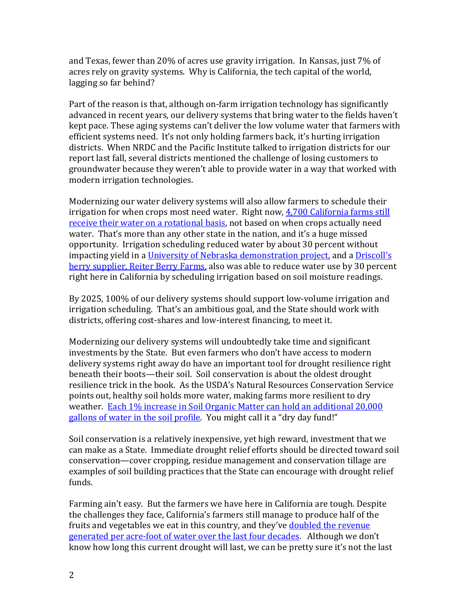and Texas, fewer than 20% of acres use gravity irrigation. In Kansas, just 7% of acres rely on gravity systems. Why is California, the tech capital of the world, lagging so far behind?

Part of the reason is that, although on-farm irrigation technology has significantly advanced in recent years, our delivery systems that bring water to the fields haven't kept pace. These aging systems can't deliver the low volume water that farmers with efficient systems need. It's not only holding farmers back, it's hurting irrigation districts. When NRDC and the Pacific Institute talked to irrigation districts for our report last fall, several districts mentioned the challenge of losing customers to groundwater because they weren't able to provide water in a way that worked with modern irrigation technologies.

Modernizing our water delivery systems will also allow farmers to schedule their irrigation for when crops most need water. Right now, [4,700 California farms still](http://www.agcensus.usda.gov/Publications/2007/Online_Highlights/Farm_and_Ranch_Irrigation_Survey/fris08_1_36.pdf)  [receive their water on a rotational basis,](http://www.agcensus.usda.gov/Publications/2007/Online_Highlights/Farm_and_Ranch_Irrigation_Survey/fris08_1_36.pdf) not based on when crops actually need water. That's more than any other state in the nation, and it's a huge missed opportunity. Irrigation scheduling reduced water by about 30 percent without impacting yield in a [University of Nebraska demonstration project,](http://water.unl.edu/c/document_library/get_file?uuid=7c342db7-0a59-488f-bccf-62120e4c8088&groupId=1882&.pdf) and a [Driscoll's](http://agwater.wordpress.com/precision-irrigation/)  [berry supplier,](http://agwater.wordpress.com/precision-irrigation/) Reiter Berry Farms, also was able to reduce water use by 30 percent right here in California by scheduling irrigation based on soil moisture readings.

By 2025, 100% of our delivery systems should support low-volume irrigation and irrigation scheduling. That's an ambitious goal, and the State should work with districts, offering cost-shares and low-interest financing, to meet it.

Modernizing our delivery systems will undoubtedly take time and significant investments by the State. But even farmers who don't have access to modern delivery systems right away do have an important tool for drought resilience right beneath their boots—their soil. Soil conservation is about the oldest drought resilience trick in the book. As the USDA's Natural Resources Conservation Service points out, healthy soil holds more water, making farms more resilient to dry weather. [Each 1% increase in Soil Organic Matter can hold an additional 20,000](http://www.nrcs.usda.gov/Internet/FSE_DOCUMENTS/stelprdb1082147.pdf)  gallons of water [in the soil profile.](http://www.nrcs.usda.gov/Internet/FSE_DOCUMENTS/stelprdb1082147.pdf) You might call it a "dry day fund!"

Soil conservation is a relatively inexpensive, yet high reward, investment that we can make as a State. Immediate drought relief efforts should be directed toward soil conservation—cover cropping, residue management and conservation tillage are examples of soil building practices that the State can encourage with drought relief funds.

Farming ain't easy. But the farmers we have here in California are tough. Despite the challenges they face, California's farmers still manage to produce half of the fruits and vegetables we eat in this country, and they've **doubled the revenue** [generated per acre-foot of water over the last four decades.](http://www.water.ca.gov/wateruseefficiency/sb7/docs/AgWaterUseReport-FINAL.pdf) Although we don't know how long this current drought will last, we can be pretty sure it's not the last